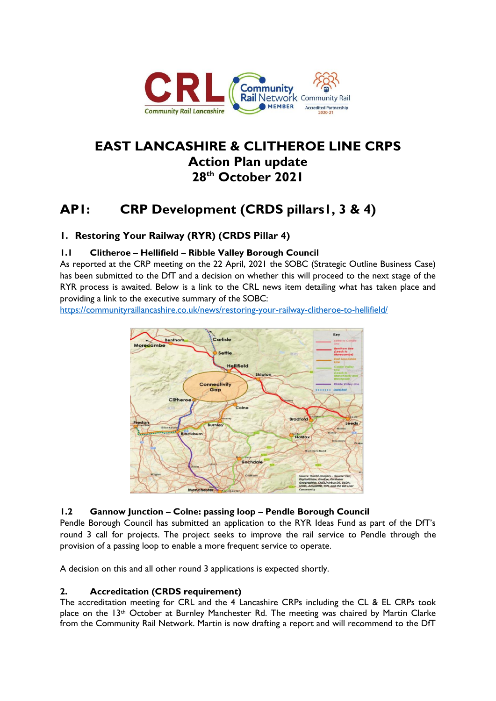

## **EAST LANCASHIRE & CLITHEROE LINE CRPS Action Plan update 28th October 2021**

## **AP1: CRP Development (CRDS pillars1, 3 & 4)**

## **1. Restoring Your Railway (RYR) (CRDS Pillar 4)**

## **1.1 Clitheroe – Hellifield – Ribble Valley Borough Council**

As reported at the CRP meeting on the 22 April, 2021 the SOBC (Strategic Outline Business Case) has been submitted to the DfT and a decision on whether this will proceed to the next stage of the RYR process is awaited. Below is a link to the CRL news item detailing what has taken place and providing a link to the executive summary of the SOBC:

<https://communityraillancashire.co.uk/news/restoring-your-railway-clitheroe-to-hellifield/>



#### **1.2 Gannow Junction – Colne: passing loop – Pendle Borough Council**

Pendle Borough Council has submitted an application to the RYR Ideas Fund as part of the DfT's round 3 call for projects. The project seeks to improve the rail service to Pendle through the provision of a passing loop to enable a more frequent service to operate.

A decision on this and all other round 3 applications is expected shortly.

#### **2. Accreditation (CRDS requirement)**

The accreditation meeting for CRL and the 4 Lancashire CRPs including the CL & EL CRPs took place on the 13<sup>th</sup> October at Burnley Manchester Rd. The meeting was chaired by Martin Clarke from the Community Rail Network. Martin is now drafting a report and will recommend to the DfT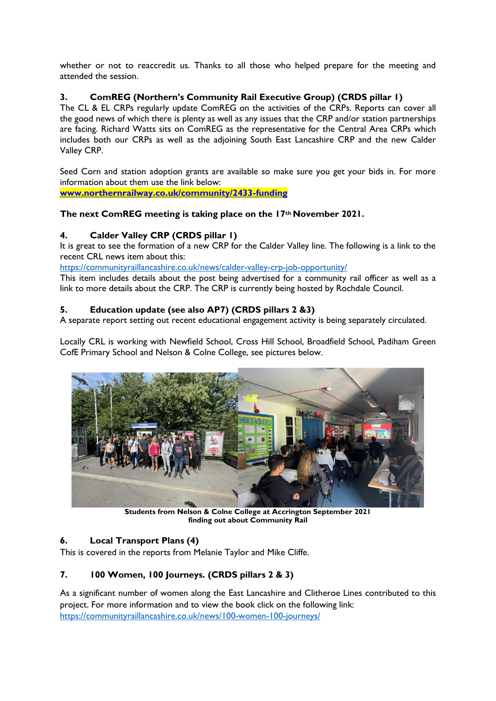whether or not to reaccredit us. Thanks to all those who helped prepare for the meeting and attended the session.

## **3. ComREG (Northern's Community Rail Executive Group) (CRDS pillar 1)**

The CL & EL CRPs regularly update ComREG on the activities of the CRPs. Reports can cover all the good news of which there is plenty as well as any issues that the CRP and/or station partnerships are facing. Richard Watts sits on ComREG as the representative for the Central Area CRPs which includes both our CRPs as well as the adjoining South East Lancashire CRP and the new Calder Valley CRP.

Seed Corn and station adoption grants are available so make sure you get your bids in. For more information about them use the link below:

**[www.northernrailway.co.uk/community/2433-funding](http://www.northernrailway.co.uk/community/2433-funding)**

#### **The next ComREG meeting is taking place on the 17th November 2021.**

## **4. Calder Valley CRP (CRDS pillar 1)**

It is great to see the formation of a new CRP for the Calder Valley line. The following is a link to the recent CRL news item about this:

<https://communityraillancashire.co.uk/news/calder-valley-crp-job-opportunity/>

This item includes details about the post being advertised for a community rail officer as well as a link to more details about the CRP. The CRP is currently being hosted by Rochdale Council.

#### **5. Education update (see also AP7) (CRDS pillars 2 &3)**

A separate report setting out recent educational engagement activity is being separately circulated.

Locally CRL is working with Newfield School, Cross Hill School, Broadfield School, Padiham Green CofE Primary School and Nelson & Colne College, see pictures below.



**Students from Nelson & Colne College at Accrington September 2021 finding out about Community Rail**

#### **6. Local Transport Plans (4)**

This is covered in the reports from Melanie Taylor and Mike Cliffe.

## **7. 100 Women, 100 Journeys. (CRDS pillars 2 & 3)**

As a significant number of women along the East Lancashire and Clitheroe Lines contributed to this project. For more information and to view the book click on the following link: <https://communityraillancashire.co.uk/news/100-women-100-journeys/>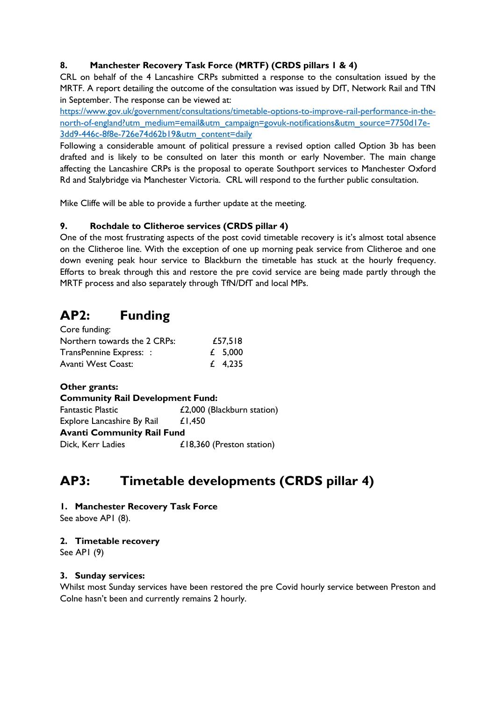## **8. Manchester Recovery Task Force (MRTF) (CRDS pillars 1 & 4)**

CRL on behalf of the 4 Lancashire CRPs submitted a response to the consultation issued by the MRTF. A report detailing the outcome of the consultation was issued by DfT, Network Rail and TfN in September. The response can be viewed at:

[https://www.gov.uk/government/consultations/timetable-options-to-improve-rail-performance-in-the](https://www.gov.uk/government/consultations/timetable-options-to-improve-rail-performance-in-the-north-of-england?utm_medium=email&utm_campaign=govuk-notifications&utm_source=7750d17e-3dd9-446c-8f8e-726e74d62b19&utm_content=daily)[north-of-england?utm\\_medium=email&utm\\_campaign=govuk-notifications&utm\\_source=7750d17e-](https://www.gov.uk/government/consultations/timetable-options-to-improve-rail-performance-in-the-north-of-england?utm_medium=email&utm_campaign=govuk-notifications&utm_source=7750d17e-3dd9-446c-8f8e-726e74d62b19&utm_content=daily)[3dd9-446c-8f8e-726e74d62b19&utm\\_content=daily](https://www.gov.uk/government/consultations/timetable-options-to-improve-rail-performance-in-the-north-of-england?utm_medium=email&utm_campaign=govuk-notifications&utm_source=7750d17e-3dd9-446c-8f8e-726e74d62b19&utm_content=daily)

Following a considerable amount of political pressure a revised option called Option 3b has been drafted and is likely to be consulted on later this month or early November. The main change affecting the Lancashire CRPs is the proposal to operate Southport services to Manchester Oxford Rd and Stalybridge via Manchester Victoria. CRL will respond to the further public consultation.

Mike Cliffe will be able to provide a further update at the meeting.

## **9. Rochdale to Clitheroe services (CRDS pillar 4)**

One of the most frustrating aspects of the post covid timetable recovery is it's almost total absence on the Clitheroe line. With the exception of one up morning peak service from Clitheroe and one down evening peak hour service to Blackburn the timetable has stuck at the hourly frequency. Efforts to break through this and restore the pre covid service are being made partly through the MRTF process and also separately through TfN/DfT and local MPs.

## **AP2: Funding**

| Core funding:                |         |
|------------------------------|---------|
| Northern towards the 2 CRPs: | £57,518 |
| TransPennine Express: :      | £ 5,000 |
| Avanti West Coast:           | £ 4,235 |

**Other grants: Community Rail Development Fund:** Fantastic Plastic **E2,000** (Blackburn station) Explore Lancashire By Rail £1,450 **Avanti Community Rail Fund** Dick, Kerr Ladies **E18,360** (Preston station)

## **AP3: Timetable developments (CRDS pillar 4)**

**1. Manchester Recovery Task Force**

See above AP1 (8).

#### **2. Timetable recovery**

See AP1 (9)

#### **3. Sunday services:**

Whilst most Sunday services have been restored the pre Covid hourly service between Preston and Colne hasn't been and currently remains 2 hourly.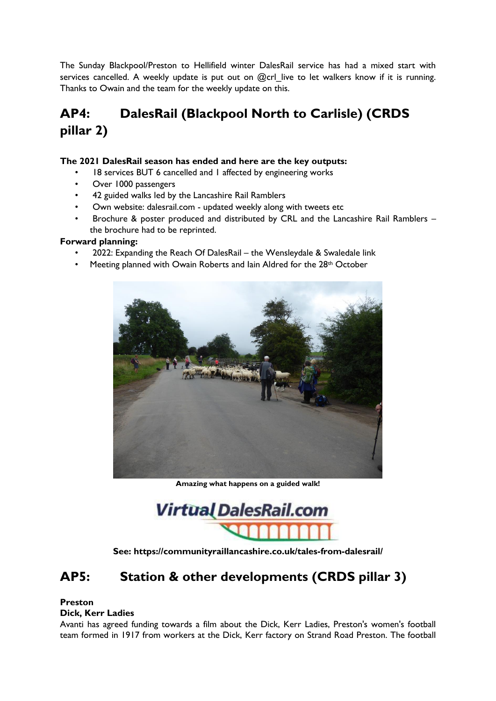The Sunday Blackpool/Preston to Hellifield winter DalesRail service has had a mixed start with services cancelled. A weekly update is put out on @crl live to let walkers know if it is running. Thanks to Owain and the team for the weekly update on this.

# **AP4: DalesRail (Blackpool North to Carlisle) (CRDS pillar 2)**

### **The 2021 DalesRail season has ended and here are the key outputs:**

- 18 services BUT 6 cancelled and 1 affected by engineering works
- Over 1000 passengers
- 42 guided walks led by the Lancashire Rail Ramblers
- Own website: dalesrail.com updated weekly along with tweets etc
- Brochure & poster produced and distributed by CRL and the Lancashire Rail Ramblers the brochure had to be reprinted.

## **Forward planning:**

- 2022: Expanding the Reach Of DalesRail the Wensleydale & Swaledale link
- Meeting planned with Owain Roberts and Iain Aldred for the 28<sup>th</sup> October



**Amazing what happens on a guided walk!**

**Virtual DalesRail.com** 

**See: https://communityraillancashire.co.uk/tales-from-dalesrail/**

## **AP5: Station & other developments (CRDS pillar 3)**

## **Preston**

#### **Dick, Kerr Ladies**

Avanti has agreed funding towards a film about the Dick, Kerr Ladies, Preston's women's football team formed in 1917 from workers at the Dick, Kerr factory on Strand Road Preston. The football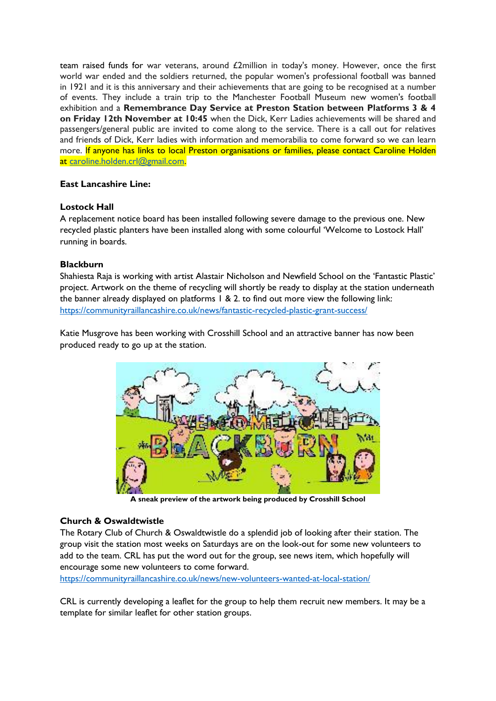team raised funds for war veterans, around £2million in today's money. However, once the first world war ended and the soldiers returned, the popular women's professional football was banned in 1921 and it is this anniversary and their achievements that are going to be recognised at a number of events. They include a train trip to the Manchester Football Museum new women's football exhibition and a **Remembrance Day Service at Preston Station between Platforms 3 & 4 on Friday 12th November at 10:45** when the Dick, Kerr Ladies achievements will be shared and passengers/general public are invited to come along to the service. There is a call out for relatives and friends of Dick, Kerr ladies with information and memorabilia to come forward so we can learn more. If anyone has links to local Preston organisations or families, please contact Caroline Holden at [caroline.holden.crl@gmail.com.](mailto:caroline.holden.crl@gmail.com)

#### **East Lancashire Line:**

## **Lostock Hall**

A replacement notice board has been installed following severe damage to the previous one. New recycled plastic planters have been installed along with some colourful 'Welcome to Lostock Hall' running in boards.

#### **Blackburn**

Shahiesta Raja is working with artist Alastair Nicholson and Newfield School on the 'Fantastic Plastic' project. Artwork on the theme of recycling will shortly be ready to display at the station underneath the banner already displayed on platforms 1 & 2. to find out more view the following link: <https://communityraillancashire.co.uk/news/fantastic-recycled-plastic-grant-success/>

Katie Musgrove has been working with Crosshill School and an attractive banner has now been produced ready to go up at the station.



**A sneak preview of the artwork being produced by Crosshill School**

## **Church & Oswaldtwistle**

The Rotary Club of Church & Oswaldtwistle do a splendid job of looking after their station. The group visit the station most weeks on Saturdays are on the look-out for some new volunteers to add to the team. CRL has put the word out for the group, see news item, which hopefully will encourage some new volunteers to come forward.

<https://communityraillancashire.co.uk/news/new-volunteers-wanted-at-local-station/>

CRL is currently developing a leaflet for the group to help them recruit new members. It may be a template for similar leaflet for other station groups.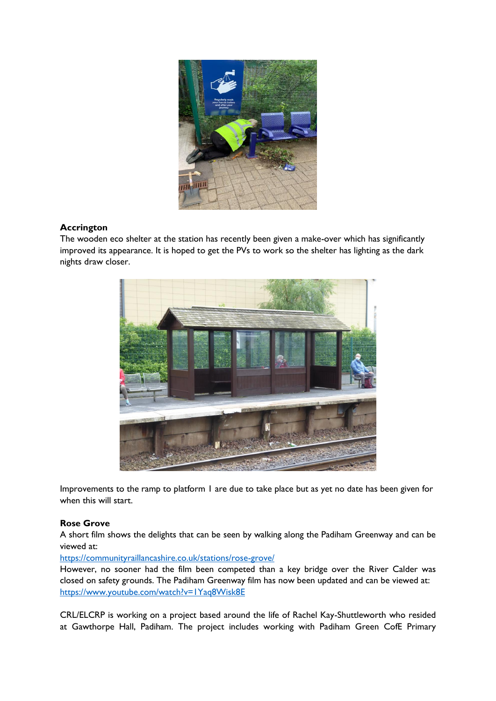

## **Accrington**

The wooden eco shelter at the station has recently been given a make-over which has significantly improved its appearance. It is hoped to get the PVs to work so the shelter has lighting as the dark nights draw closer.



Improvements to the ramp to platform 1 are due to take place but as yet no date has been given for when this will start.

#### **Rose Grove**

A short film shows the delights that can be seen by walking along the Padiham Greenway and can be viewed at:

<https://communityraillancashire.co.uk/stations/rose-grove/>

However, no sooner had the film been competed than a key bridge over the River Calder was closed on safety grounds. The Padiham Greenway film has now been updated and can be viewed at: <https://www.youtube.com/watch?v=1Yaq8Wisk8E>

CRL/ELCRP is working on a project based around the life of Rachel Kay-Shuttleworth who resided at Gawthorpe Hall, Padiham. The project includes working with Padiham Green CofE Primary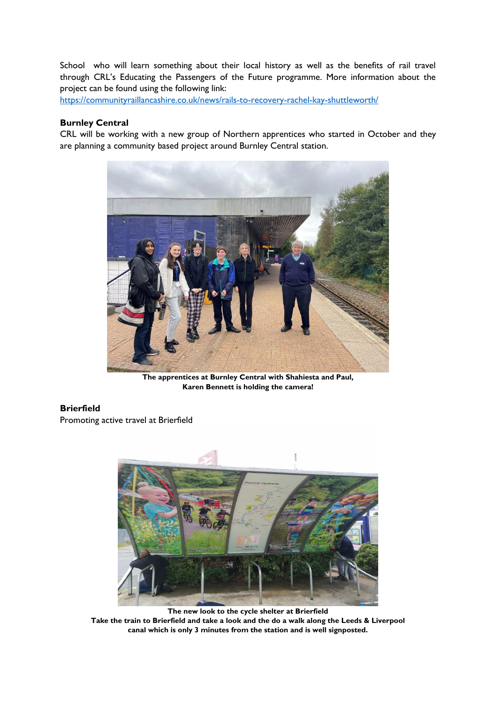School who will learn something about their local history as well as the benefits of rail travel through CRL's Educating the Passengers of the Future programme. More information about the project can be found using the following link:

<https://communityraillancashire.co.uk/news/rails-to-recovery-rachel-kay-shuttleworth/>

#### **Burnley Central**

CRL will be working with a new group of Northern apprentices who started in October and they are planning a community based project around Burnley Central station.



**The apprentices at Burnley Central with Shahiesta and Paul, Karen Bennett is holding the camera!**

#### **Brierfield**

Promoting active travel at Brierfield



**The new look to the cycle shelter at Brierfield Take the train to Brierfield and take a look and the do a walk along the Leeds & Liverpool canal which is only 3 minutes from the station and is well signposted.**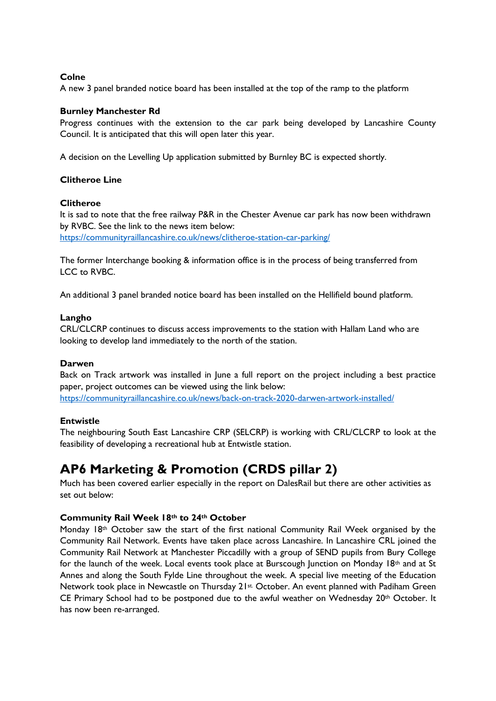#### **Colne**

A new 3 panel branded notice board has been installed at the top of the ramp to the platform

#### **Burnley Manchester Rd**

Progress continues with the extension to the car park being developed by Lancashire County Council. It is anticipated that this will open later this year.

A decision on the Levelling Up application submitted by Burnley BC is expected shortly.

#### **Clitheroe Line**

#### **Clitheroe**

It is sad to note that the free railway P&R in the Chester Avenue car park has now been withdrawn by RVBC. See the link to the news item below: <https://communityraillancashire.co.uk/news/clitheroe-station-car-parking/>

The former Interchange booking & information office is in the process of being transferred from LCC to RVBC.

An additional 3 panel branded notice board has been installed on the Hellifield bound platform.

#### **Langho**

CRL/CLCRP continues to discuss access improvements to the station with Hallam Land who are looking to develop land immediately to the north of the station.

#### **Darwen**

Back on Track artwork was installed in June a full report on the project including a best practice paper, project outcomes can be viewed using the link below: <https://communityraillancashire.co.uk/news/back-on-track-2020-darwen-artwork-installed/>

#### **Entwistle**

The neighbouring South East Lancashire CRP (SELCRP) is working with CRL/CLCRP to look at the feasibility of developing a recreational hub at Entwistle station.

## **AP6 Marketing & Promotion (CRDS pillar 2)**

Much has been covered earlier especially in the report on DalesRail but there are other activities as set out below:

#### **Community Rail Week 18th to 24th October**

Monday 18th October saw the start of the first national Community Rail Week organised by the Community Rail Network. Events have taken place across Lancashire. In Lancashire CRL joined the Community Rail Network at Manchester Piccadilly with a group of SEND pupils from Bury College for the launch of the week. Local events took place at Burscough Junction on Monday 18th and at St Annes and along the South Fylde Line throughout the week. A special live meeting of the Education Network took place in Newcastle on Thursday 21st October. An event planned with Padiham Green CE Primary School had to be postponed due to the awful weather on Wednesday  $20<sup>th</sup>$  October. It has now been re-arranged.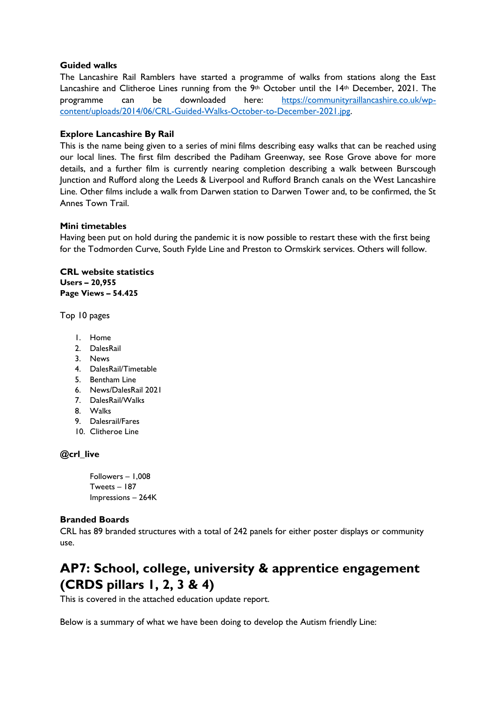#### **Guided walks**

The Lancashire Rail Ramblers have started a programme of walks from stations along the East Lancashire and Clitheroe Lines running from the  $9<sup>th</sup>$  October until the 14<sup>th</sup> December, 2021. The programme can be downloaded here: [https://communityraillancashire.co.uk/wp](https://communityraillancashire.co.uk/wp-content/uploads/2014/06/CRL-Guided-Walks-October-to-December-2021.jpg)[content/uploads/2014/06/CRL-Guided-Walks-October-to-December-2021.jpg.](https://communityraillancashire.co.uk/wp-content/uploads/2014/06/CRL-Guided-Walks-October-to-December-2021.jpg) 

#### **Explore Lancashire By Rail**

This is the name being given to a series of mini films describing easy walks that can be reached using our local lines. The first film described the Padiham Greenway, see Rose Grove above for more details, and a further film is currently nearing completion describing a walk between Burscough Junction and Rufford along the Leeds & Liverpool and Rufford Branch canals on the West Lancashire Line. Other films include a walk from Darwen station to Darwen Tower and, to be confirmed, the St Annes Town Trail.

#### **Mini timetables**

Having been put on hold during the pandemic it is now possible to restart these with the first being for the Todmorden Curve, South Fylde Line and Preston to Ormskirk services. Others will follow.

**CRL website statistics Users – 20,955 Page Views – 54.425**

Top 10 pages

- 1. Home
- 2. DalesRail
- 3. News
- 4. DalesRail/Timetable
- 5. Bentham Line
- 6. News/DalesRail 2021
- 7. DalesRail/Walks
- 8. Walks
- 9. Dalesrail/Fares
- 10. Clitheroe Line

#### **@crl\_live**

Followers – 1,008 Tweets – 187 Impressions – 264K

#### **Branded Boards**

CRL has 89 branded structures with a total of 242 panels for either poster displays or community use.

## **AP7: School, college, university & apprentice engagement (CRDS pillars 1, 2, 3 & 4)**

This is covered in the attached education update report.

Below is a summary of what we have been doing to develop the Autism friendly Line: